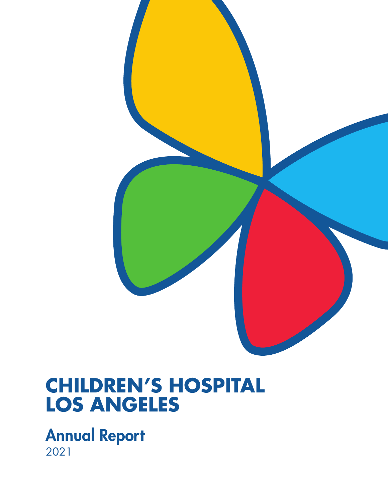

### **CHILDREN'S HOSPITAL LOS ANGELES**

Annual Report 2021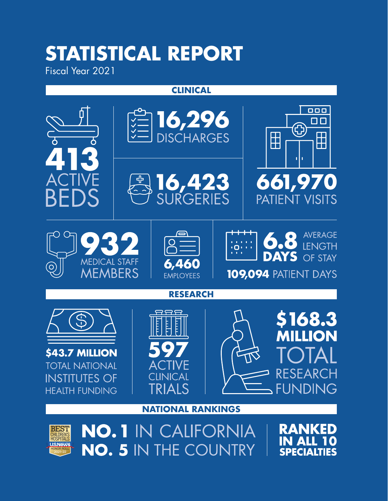# **STATISTICAL REPORT**

Fiscal Year 2021

HONOR ROLL 2021-22

#### **CLINICAL**



**SPECIALTIES**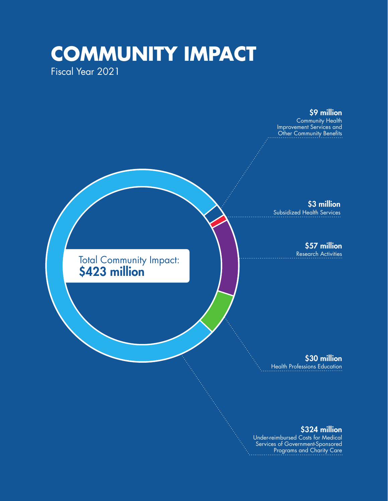### **COMMUNITY IMPACT** Fiscal Year 2021



#### \$324 million

Under-reimbursed Costs for Medical Services of Government-Sponsored Programs and Charity Care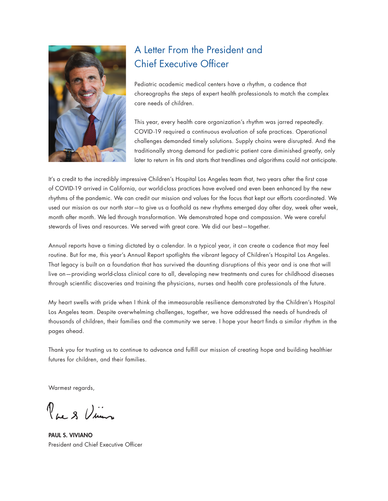

### A Letter From the President and Chief Executive Officer

Pediatric academic medical centers have a rhythm, a cadence that choreographs the steps of expert health professionals to match the complex care needs of children.

This year, every health care organization's rhythm was jarred repeatedly. COVID-19 required a continuous evaluation of safe practices. Operational challenges demanded timely solutions. Supply chains were disrupted. And the traditionally strong demand for pediatric patient care diminished greatly, only later to return in fits and starts that trendlines and algorithms could not anticipate.

It's a credit to the incredibly impressive Children's Hospital Los Angeles team that, two years after the first case of COVID-19 arrived in California, our world-class practices have evolved and even been enhanced by the new rhythms of the pandemic. We can credit our mission and values for the focus that kept our efforts coordinated. We used our mission as our north star—to give us a foothold as new rhythms emerged day after day, week after week, month after month. We led through transformation. We demonstrated hope and compassion. We were careful stewards of lives and resources. We served with great care. We did our best—together.

Annual reports have a timing dictated by a calendar. In a typical year, it can create a cadence that may feel routine. But for me, this year's Annual Report spotlights the vibrant legacy of Children's Hospital Los Angeles. That legacy is built on a foundation that has survived the daunting disruptions of this year and is one that will live on—providing world-class clinical care to all, developing new treatments and cures for childhood diseases through scientific discoveries and training the physicians, nurses and health care professionals of the future.

My heart swells with pride when I think of the immeasurable resilience demonstrated by the Children's Hospital Los Angeles team. Despite overwhelming challenges, together, we have addressed the needs of hundreds of thousands of children, their families and the community we serve. I hope your heart finds a similar rhythm in the pages ahead.

Thank you for trusting us to continue to advance and fulfill our mission of creating hope and building healthier futures for children, and their families.

Warmest regards,

Royal Vincen

PAUL S. VIVIANO President and Chief Executive Officer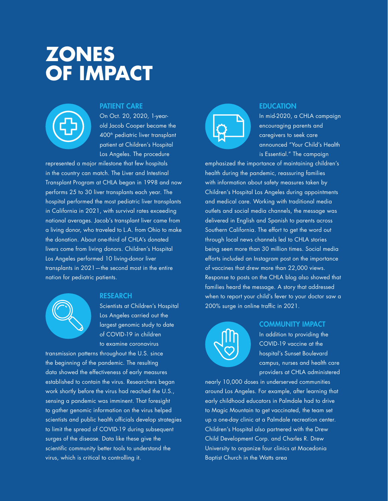## **ZONES OF IMPACT**



#### PATIENT CARE

On Oct. 20, 2020, 1-yearold Jacob Cooper became the 400<sup>th</sup> pediatric liver transplant patient at Children's Hospital Los Angeles. The procedure

represented a major milestone that few hospitals in the country can match. The Liver and Intestinal Transplant Program at CHLA began in 1998 and now performs 25 to 30 liver transplants each year. The hospital performed the most pediatric liver transplants in California in 2021, with survival rates exceeding national averages. Jacob's transplant liver came from a living donor, who traveled to L.A. from Ohio to make the donation. About one-third of CHLA's donated livers come from living donors. Children's Hospital Los Angeles performed 10 living-donor liver transplants in 2021—the second most in the entire nation for pediatric patients.



#### **RESEARCH**

Scientists at Children's Hospital Los Angeles carried out the largest genomic study to date of COVID-19 in children to examine coronavirus

transmission patterns throughout the U.S. since the beginning of the pandemic. The resulting data showed the effectiveness of early measures established to contain the virus. Researchers began work shortly before the virus had reached the U.S., sensing a pandemic was imminent. That foresight to gather genomic information on the virus helped scientists and public health officials develop strategies to limit the spread of COVID-19 during subsequent surges of the disease. Data like these give the scientific community better tools to understand the virus, which is critical to controlling it.



#### **EDUCATION**

In mid-2020, a CHLA campaign encouraging parents and caregivers to seek care announced "Your Child's Health is Essential." The campaign

emphasized the importance of maintaining children's health during the pandemic, reassuring families with information about safety measures taken by Children's Hospital Los Angeles during appointments and medical care. Working with traditional media outlets and social media channels, the message was delivered in English and Spanish to parents across Southern California. The effort to get the word out through local news channels led to CHLA stories being seen more than 30 million times. Social media efforts included an Instagram post on the importance of vaccines that drew more than 22,000 views. Response to posts on the CHLA blog also showed that families heard the message. A story that addressed when to report your child's fever to your doctor saw a 200% surge in online traffic in 2021.



#### COMMUNITY IMPACT

In addition to providing the COVID-19 vaccine at the hospital's Sunset Boulevard campus, nurses and health care providers at CHLA administered

nearly 10,000 doses in underserved communities around Los Angeles. For example, after learning that early childhood educators in Palmdale had to drive to Magic Mountain to get vaccinated, the team set up a one-day clinic at a Palmdale recreation center. Children's Hospital also partnered with the Drew Child Development Corp. and Charles R. Drew University to organize four clinics at Macedonia Baptist Church in the Watts area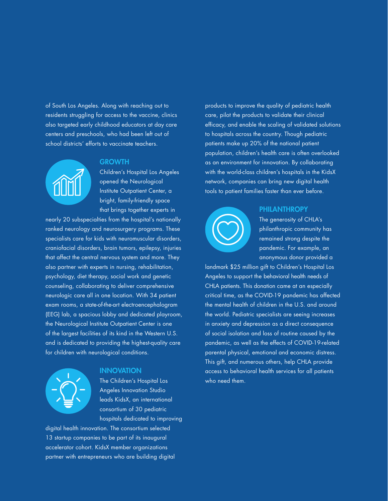of South Los Angeles. Along with reaching out to residents struggling for access to the vaccine, clinics also targeted early childhood educators at day care centers and preschools, who had been left out of school districts' efforts to vaccinate teachers.



#### **GROWTH**

Children's Hospital Los Angeles opened the Neurological Institute Outpatient Center, a bright, family-friendly space that brings together experts in

nearly 20 subspecialties from the hospital's nationally ranked neurology and neurosurgery programs. These specialists care for kids with neuromuscular disorders, craniofacial disorders, brain tumors, epilepsy, injuries that affect the central nervous system and more. They also partner with experts in nursing, rehabilitation, psychology, diet therapy, social work and genetic counseling, collaborating to deliver comprehensive neurologic care all in one location. With 34 patient exam rooms, a state-of-the-art electroencephalogram (EEG) lab, a spacious lobby and dedicated playroom, the Neurological Institute Outpatient Center is one of the largest facilities of its kind in the Western U.S. and is dedicated to providing the highest-quality care for children with neurological conditions.



#### **INNOVATION**

The Children's Hospital Los Angeles Innovation Studio leads KidsX, an international consortium of 30 pediatric hospitals dedicated to improving

digital health innovation. The consortium selected 13 startup companies to be part of its inaugural accelerator cohort. KidsX member organizations partner with entrepreneurs who are building digital

products to improve the quality of pediatric health care, pilot the products to validate their clinical efficacy, and enable the scaling of validated solutions to hospitals across the country. Though pediatric patients make up 20% of the national patient population, children's health care is often overlooked as an environment for innovation. By collaborating with the world-class children's hospitals in the KidsX network, companies can bring new digital health tools to patient families faster than ever before.



#### **PHILANTHROPY**

The generosity of CHLA's philanthropic community has remained strong despite the pandemic. For example, an anonymous donor provided a

landmark \$25 million gift to Children's Hospital Los Angeles to support the behavioral health needs of CHLA patients. This donation came at an especially critical time, as the COVID-19 pandemic has affected the mental health of children in the U.S. and around the world. Pediatric specialists are seeing increases in anxiety and depression as a direct consequence of social isolation and loss of routine caused by the pandemic, as well as the effects of COVID-19-related parental physical, emotional and economic distress. This gift, and numerous others, help CHLA provide access to behavioral health services for all patients who need them.